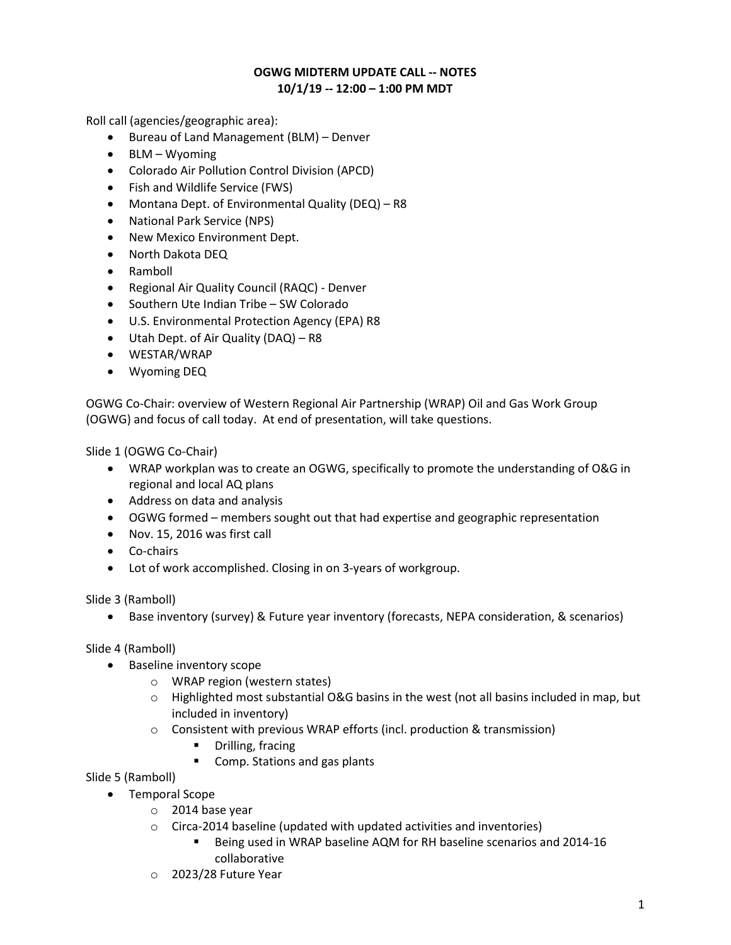## OGWG MIDTERM UPDATE CALL -- NOTES 10/1/19 -- 12:00 – 1:00 PM MDT

Roll call (agencies/geographic area):

- Bureau of Land Management (BLM) Denver
- BLM Wyoming
- Colorado Air Pollution Control Division (APCD)
- Fish and Wildlife Service (FWS)
- Montana Dept. of Environmental Quality (DEQ) R8
- National Park Service (NPS)
- New Mexico Environment Dept.
- North Dakota DEQ
- Ramboll
- Regional Air Quality Council (RAQC) Denver
- Southern Ute Indian Tribe SW Colorado
- U.S. Environmental Protection Agency (EPA) R8
- Utah Dept. of Air Quality (DAQ) R8
- WESTAR/WRAP
- Wyoming DEQ

OGWG Co-Chair: overview of Western Regional Air Partnership (WRAP) Oil and Gas Work Group (OGWG) and focus of call today. At end of presentation, will take questions.

Slide 1 (OGWG Co-Chair)

- WRAP workplan was to create an OGWG, specifically to promote the understanding of O&G in regional and local AQ plans
- Address on data and analysis
- OGWG formed members sought out that had expertise and geographic representation
- Nov. 15, 2016 was first call
- Co-chairs
- Lot of work accomplished. Closing in on 3-years of workgroup.

Slide 3 (Ramboll)

Base inventory (survey) & Future year inventory (forecasts, NEPA consideration, & scenarios)

Slide 4 (Ramboll)

- Baseline inventory scope
	- o WRAP region (western states)
	- $\circ$  Highlighted most substantial O&G basins in the west (not all basins included in map, but included in inventory)
	- o Consistent with previous WRAP efforts (incl. production & transmission)
		- **•** Drilling, fracing
		- Comp. Stations and gas plants

Slide 5 (Ramboll)

- Temporal Scope
	- o 2014 base year
	- o Circa-2014 baseline (updated with updated activities and inventories)
		- Being used in WRAP baseline AQM for RH baseline scenarios and 2014-16 collaborative
	- o 2023/28 Future Year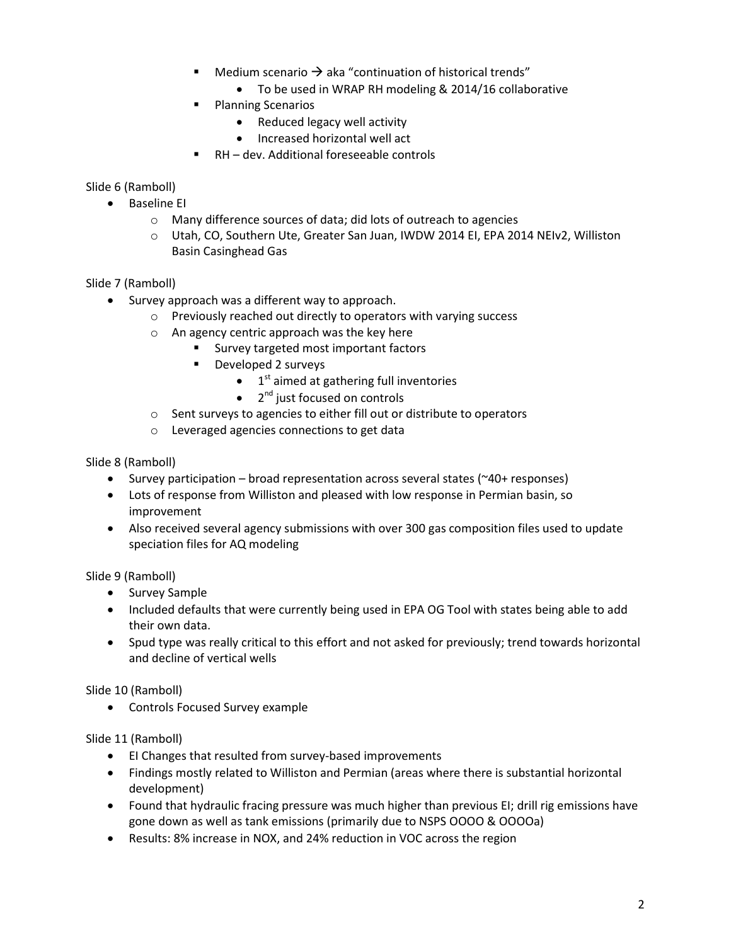- Medium scenario  $\rightarrow$  aka "continuation of historical trends"
	- To be used in WRAP RH modeling & 2014/16 collaborative
- **Planning Scenarios** 
	- Reduced legacy well activity
	- Increased horizontal well act
	- RH dev. Additional foreseeable controls

Slide 6 (Ramboll)

- Baseline EI
	- o Many difference sources of data; did lots of outreach to agencies
	- o Utah, CO, Southern Ute, Greater San Juan, IWDW 2014 EI, EPA 2014 NEIv2, Williston Basin Casinghead Gas

Slide 7 (Ramboll)

- Survey approach was a different way to approach.
	- o Previously reached out directly to operators with varying success
	- o An agency centric approach was the key here
		- **Survey targeted most important factors**
		- **Developed 2 surveys** 
			- $\bullet$  1<sup>st</sup> aimed at gathering full inventories
			- $\bullet$  2<sup>nd</sup> just focused on controls
	- o Sent surveys to agencies to either fill out or distribute to operators
	- o Leveraged agencies connections to get data

Slide 8 (Ramboll)

- Survey participation broad representation across several states ( $40+$  responses)
- Lots of response from Williston and pleased with low response in Permian basin, so improvement
- Also received several agency submissions with over 300 gas composition files used to update speciation files for AQ modeling

Slide 9 (Ramboll)

- Survey Sample
- Included defaults that were currently being used in EPA OG Tool with states being able to add their own data.
- Spud type was really critical to this effort and not asked for previously; trend towards horizontal and decline of vertical wells

Slide 10 (Ramboll)

Controls Focused Survey example

Slide 11 (Ramboll)

- EI Changes that resulted from survey-based improvements
- Findings mostly related to Williston and Permian (areas where there is substantial horizontal development)
- Found that hydraulic fracing pressure was much higher than previous EI; drill rig emissions have gone down as well as tank emissions (primarily due to NSPS OOOO & OOOOa)
- Results: 8% increase in NOX, and 24% reduction in VOC across the region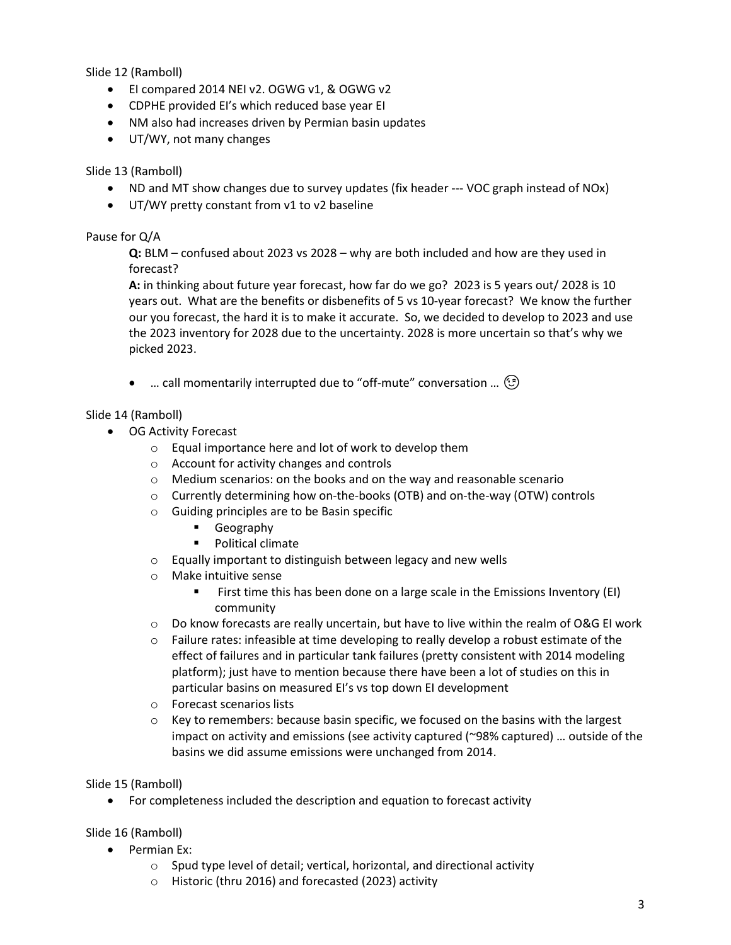Slide 12 (Ramboll)

- El compared 2014 NEI v2. OGWG v1, & OGWG v2
- CDPHE provided EI's which reduced base year EI
- NM also had increases driven by Permian basin updates
- UT/WY, not many changes

### Slide 13 (Ramboll)

- ND and MT show changes due to survey updates (fix header --- VOC graph instead of NOx)
- UT/WY pretty constant from v1 to v2 baseline

## Pause for Q/A

Q: BLM – confused about 2023 vs 2028 – why are both included and how are they used in forecast?

A: in thinking about future year forecast, how far do we go? 2023 is 5 years out/ 2028 is 10 years out. What are the benefits or disbenefits of 5 vs 10-year forecast? We know the further our you forecast, the hard it is to make it accurate. So, we decided to develop to 2023 and use the 2023 inventory for 2028 due to the uncertainty. 2028 is more uncertain so that's why we picked 2023.

• ... call momentarily interrupted due to "off-mute" conversation ...  $\odot$ 

## Slide 14 (Ramboll)

- OG Activity Forecast
	- o Equal importance here and lot of work to develop them
	- o Account for activity changes and controls
	- o Medium scenarios: on the books and on the way and reasonable scenario
	- o Currently determining how on-the-books (OTB) and on-the-way (OTW) controls
	- o Guiding principles are to be Basin specific
		- Geography
		- **Political climate**
	- o Equally important to distinguish between legacy and new wells
	- o Make intuitive sense
		- First time this has been done on a large scale in the Emissions Inventory (EI) community
	- o Do know forecasts are really uncertain, but have to live within the realm of O&G EI work
	- $\circ$  Failure rates: infeasible at time developing to really develop a robust estimate of the effect of failures and in particular tank failures (pretty consistent with 2014 modeling platform); just have to mention because there have been a lot of studies on this in particular basins on measured EI's vs top down EI development
	- o Forecast scenarios lists
	- $\circ$  Key to remembers: because basin specific, we focused on the basins with the largest impact on activity and emissions (see activity captured  $($ ~98% captured)  $\ldots$  outside of the basins we did assume emissions were unchanged from 2014.

Slide 15 (Ramboll)

For completeness included the description and equation to forecast activity

## Slide 16 (Ramboll)

- Permian Ex:
	- o Spud type level of detail; vertical, horizontal, and directional activity
	- o Historic (thru 2016) and forecasted (2023) activity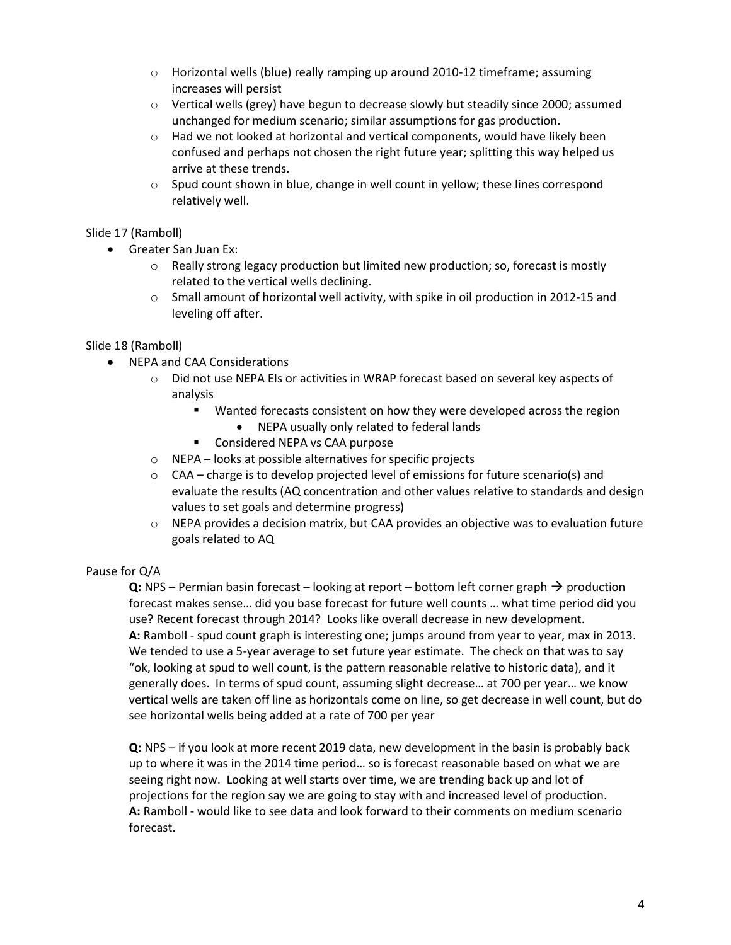- o Horizontal wells (blue) really ramping up around 2010-12 timeframe; assuming increases will persist
- o Vertical wells (grey) have begun to decrease slowly but steadily since 2000; assumed unchanged for medium scenario; similar assumptions for gas production.
- $\circ$  Had we not looked at horizontal and vertical components, would have likely been confused and perhaps not chosen the right future year; splitting this way helped us arrive at these trends.
- $\circ$  Spud count shown in blue, change in well count in yellow; these lines correspond relatively well.

## Slide 17 (Ramboll)

- Greater San Juan Ex:
	- $\circ$  Really strong legacy production but limited new production; so, forecast is mostly related to the vertical wells declining.
	- $\circ$  Small amount of horizontal well activity, with spike in oil production in 2012-15 and leveling off after.

#### Slide 18 (Ramboll)

- NEPA and CAA Considerations
	- o Did not use NEPA EIs or activities in WRAP forecast based on several key aspects of analysis
		- **Wanted forecasts consistent on how they were developed across the region** 
			- NEPA usually only related to federal lands
		- Considered NEPA vs CAA purpose
	- o NEPA looks at possible alternatives for specific projects
	- $\circ$  CAA charge is to develop projected level of emissions for future scenario(s) and evaluate the results (AQ concentration and other values relative to standards and design values to set goals and determine progress)
	- $\circ$  NEPA provides a decision matrix, but CAA provides an objective was to evaluation future goals related to AQ

#### Pause for Q/A

Q: NPS – Permian basin forecast – looking at report – bottom left corner graph  $\rightarrow$  production forecast makes sense… did you base forecast for future well counts … what time period did you use? Recent forecast through 2014? Looks like overall decrease in new development. A: Ramboll - spud count graph is interesting one; jumps around from year to year, max in 2013. We tended to use a 5-year average to set future year estimate. The check on that was to say "ok, looking at spud to well count, is the pattern reasonable relative to historic data), and it generally does. In terms of spud count, assuming slight decrease… at 700 per year… we know vertical wells are taken off line as horizontals come on line, so get decrease in well count, but do see horizontal wells being added at a rate of 700 per year

Q: NPS – if you look at more recent 2019 data, new development in the basin is probably back up to where it was in the 2014 time period… so is forecast reasonable based on what we are seeing right now. Looking at well starts over time, we are trending back up and lot of projections for the region say we are going to stay with and increased level of production. A: Ramboll - would like to see data and look forward to their comments on medium scenario forecast.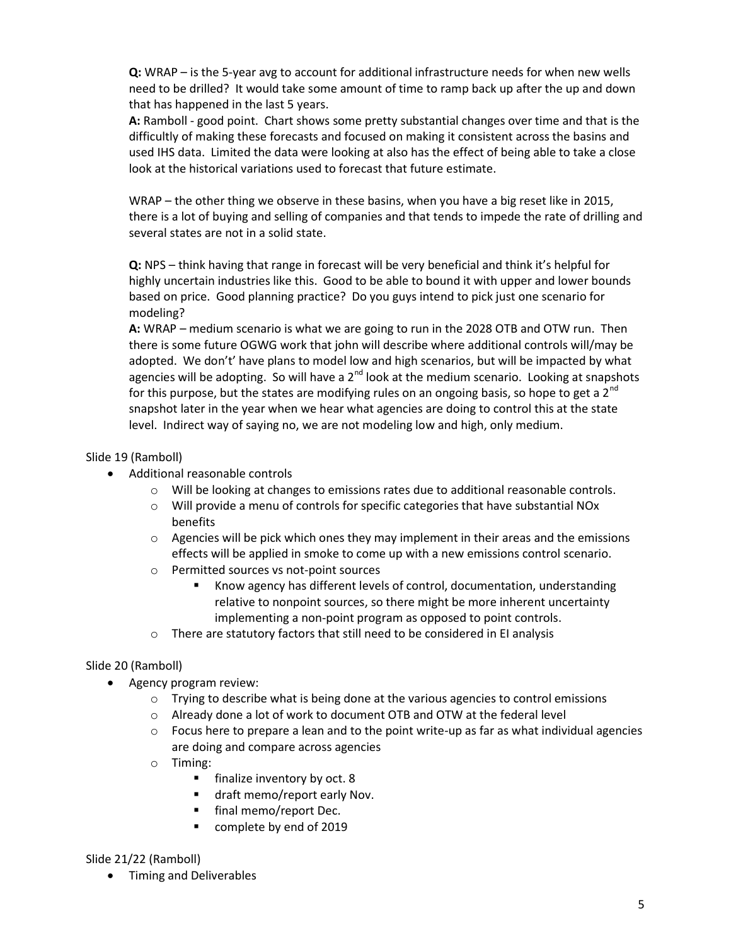Q: WRAP – is the 5-year avg to account for additional infrastructure needs for when new wells need to be drilled? It would take some amount of time to ramp back up after the up and down that has happened in the last 5 years.

A: Ramboll - good point. Chart shows some pretty substantial changes over time and that is the difficultly of making these forecasts and focused on making it consistent across the basins and used IHS data. Limited the data were looking at also has the effect of being able to take a close look at the historical variations used to forecast that future estimate.

WRAP – the other thing we observe in these basins, when you have a big reset like in 2015, there is a lot of buying and selling of companies and that tends to impede the rate of drilling and several states are not in a solid state.

Q: NPS – think having that range in forecast will be very beneficial and think it's helpful for highly uncertain industries like this. Good to be able to bound it with upper and lower bounds based on price. Good planning practice? Do you guys intend to pick just one scenario for modeling?

A: WRAP – medium scenario is what we are going to run in the 2028 OTB and OTW run. Then there is some future OGWG work that john will describe where additional controls will/may be adopted. We don't' have plans to model low and high scenarios, but will be impacted by what agencies will be adopting. So will have a  $2^{nd}$  look at the medium scenario. Looking at snapshots for this purpose, but the states are modifying rules on an ongoing basis, so hope to get a 2<sup>nd</sup> snapshot later in the year when we hear what agencies are doing to control this at the state level. Indirect way of saying no, we are not modeling low and high, only medium.

## Slide 19 (Ramboll)

- Additional reasonable controls
	- o Will be looking at changes to emissions rates due to additional reasonable controls.
	- $\circ$  Will provide a menu of controls for specific categories that have substantial NOx benefits
	- $\circ$  Agencies will be pick which ones they may implement in their areas and the emissions effects will be applied in smoke to come up with a new emissions control scenario.
	- o Permitted sources vs not-point sources
		- Know agency has different levels of control, documentation, understanding relative to nonpoint sources, so there might be more inherent uncertainty implementing a non-point program as opposed to point controls.
	- o There are statutory factors that still need to be considered in EI analysis

## Slide 20 (Ramboll)

- Agency program review:
	- $\circ$  Trying to describe what is being done at the various agencies to control emissions
	- $\circ$  Already done a lot of work to document OTB and OTW at the federal level
	- $\circ$  Focus here to prepare a lean and to the point write-up as far as what individual agencies are doing and compare across agencies
	- o Timing:
		- **finalize inventory by oct. 8**
		- draft memo/report early Nov.
		- final memo/report Dec.
		- complete by end of 2019

#### Slide 21/22 (Ramboll)

• Timing and Deliverables